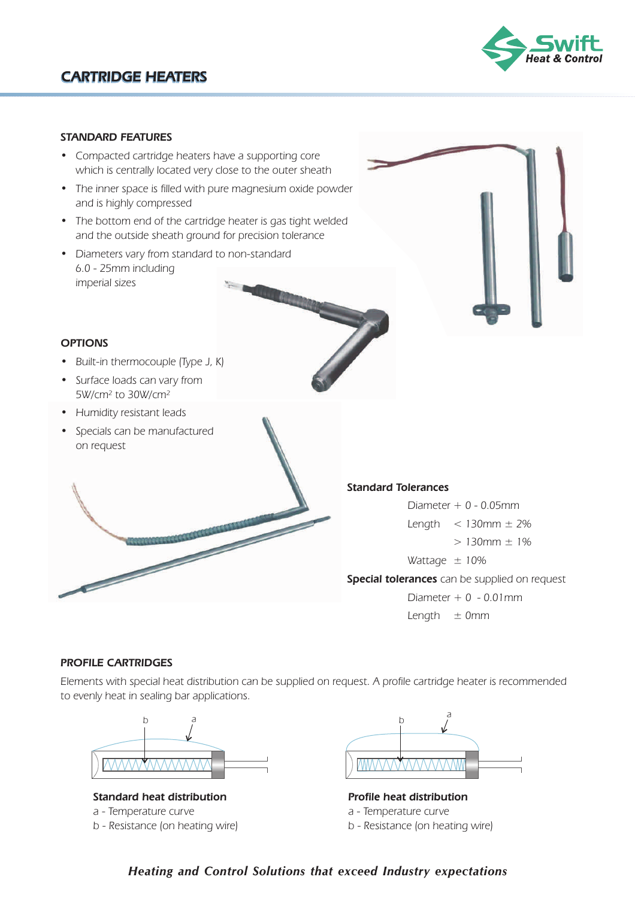

#### **STANDARD FEATURES**

- Compacted cartridge heaters have a supporting core which is centrally located very close to the outer sheath
- The inner space is filled with pure magnesium oxide powder and is highly compressed
- The bottom end of the cartridge heater is gas tight welded and the outside sheath ground for precision tolerance
- Diameters vary from standard to non-standard 6.0 - 25mm including imperial sizes

# **OPTIONS**

- Built-in thermocouple (Type J, K)
- Surface loads can vary from 5W/cm² to 30W/cm²
- Humidity resistant leads
- Specials can be manufactured on request



**Special tolerances** can be supplied on request Diameter  $+ 0 - 0.05$ mm Length  $<$  130mm  $\pm$  2%  $> 130$ mm  $\pm 1\%$ Wattage  $\pm$  10% Diameter  $+ 0 - 0.01$ mm Length  $\pm$  0mm

#### **PROFILE CARTRIDGES**

**Contract Contract Contract Contract Contract Contract Contract Contract Contract Contract Contract Contract C** 

Elements with special heat distribution can be supplied on request. A profile cartridge heater is recommended to evenly heat in sealing bar applications.



**Standard heat distribution** a - Temperature curve b - Resistance (on heating wire)



**Profile heat distribution** a - Temperature curve b - Resistance (on heating wire)

## *Heating and Control Solutions that exceed Industry expectations*